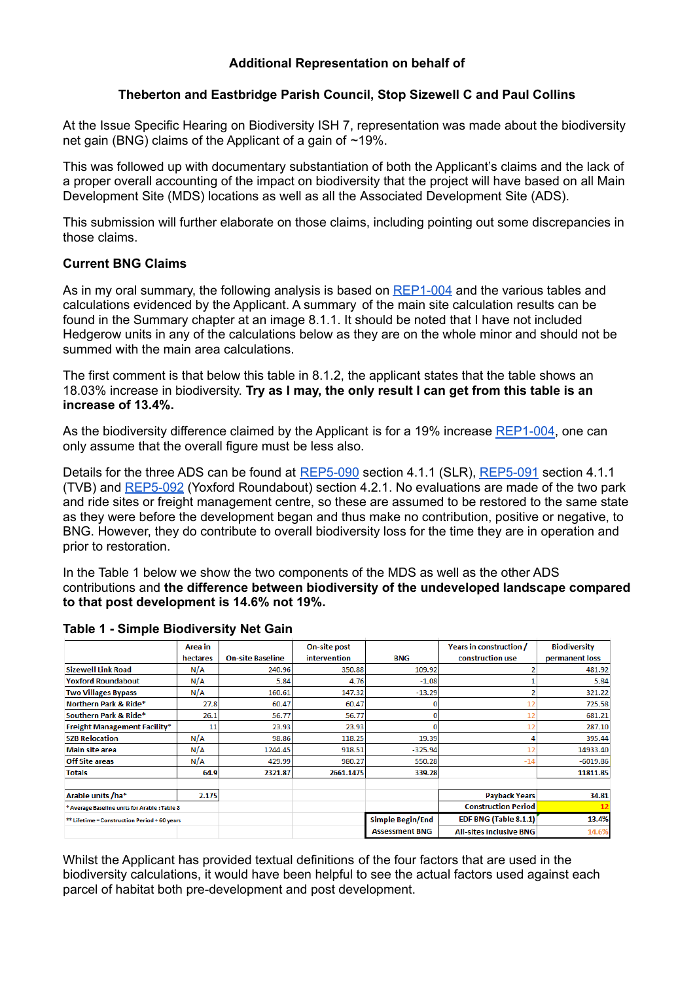# **Additional Representation on behalf of**

# **Theberton and Eastbridge Parish Council, Stop Sizewell C and Paul Collins**

At the Issue Specific Hearing on Biodiversity ISH 7, representation was made about the biodiversity net gain (BNG) claims of the Applicant of a gain of  $\sim$ 19%.

This was followed up with documentary substantiation of both the Applicant's claims and the lack of a proper overall accounting of the impact on biodiversity that the project will have based on all Main Development Site (MDS) locations as well as all the Associated Development Site (ADS).

This submission will further elaborate on those claims, including pointing out some discrepancies in those claims.

# **Current BNG Claims**

As in my oral summary, the following analysis is based on [REP1-004](https://infrastructure.planninginspectorate.gov.uk/wp-content/ipc/uploads/projects/EN010012/EN010012-003968-Sizewell%20C%20Project%20-%20Other-%20Deadline%201%20submission%20-%20Appendix%2014E%20Biodiversity%20Net%20Gain%20Report.pdf) and the various tables and calculations evidenced by the Applicant. A summary of the main site calculation results can be found in the Summary chapter at an image 8.1.1. It should be noted that I have not included Hedgerow units in any of the calculations below as they are on the whole minor and should not be summed with the main area calculations.

The first comment is that below this table in 8.1.2, the applicant states that the table shows an 18.03% increase in biodiversity. **Try as I may, the only result I can get from this table is an increase of 13.4%.**

As the biodiversity difference claimed by the Applicant is for a 19% increase [REP1-004,](https://infrastructure.planninginspectorate.gov.uk/wp-content/ipc/uploads/projects/EN010012/EN010012-003968-Sizewell%20C%20Project%20-%20Other-%20Deadline%201%20submission%20-%20Appendix%2014E%20Biodiversity%20Net%20Gain%20Report.pdf) one can only assume that the overall figure must be less also.

Details for the three ADS can be found at [REP5-090](https://infrastructure.planninginspectorate.gov.uk/wp-content/ipc/uploads/projects/EN010012/EN010012-006314-Sizewell%20C%20Project%20-%20Other-%20SZC%20Bk9%209.5(A)%20Biodiversity%20Net%20Gain%20Report%20Sizewell%20Link%20Road.pdf) section 4.1.1 (SLR), [REP5-091](https://infrastructure.planninginspectorate.gov.uk/wp-content/ipc/uploads/projects/EN010012/EN010012-006315-Sizewell%20C%20Project%20-%20Other-%20SZC%20Bk9%209.6(A)%20Biodiversity%20Net%20Gain%20Report%20Two%20Village%20Bypass.pdf) section 4.1.1 (TVB) and [REP5-092](https://infrastructure.planninginspectorate.gov.uk/wp-content/ipc/uploads/projects/EN010012/EN010012-006316-Sizewell%20C%20Project%20-%20Other-%20SZC%20Bk9%209.7(A)%20Biodiversity%20Net%20Gain%20Report%20Yoxford%20Roundabout.pdf) (Yoxford Roundabout) section 4.2.1. No evaluations are made of the two park and ride sites or freight management centre, so these are assumed to be restored to the same state as they were before the development began and thus make no contribution, positive or negative, to BNG. However, they do contribute to overall biodiversity loss for the time they are in operation and prior to restoration.

In the Table 1 below we show the two components of the MDS as well as the other ADS contributions and **the difference between biodiversity of the undeveloped landscape compared to that post development is 14.6% not 19%.**

|                                                     | Area in  |                         | On-site post |                       | Years in construction /        | <b>Biodiversity</b> |
|-----------------------------------------------------|----------|-------------------------|--------------|-----------------------|--------------------------------|---------------------|
|                                                     | hectares | <b>On-site Baseline</b> | intervention | <b>BNG</b>            | construction use               | permanent loss      |
| <b>Sizewell Link Road</b>                           | N/A      | 240.96                  | 350.88       | 109.92                |                                | 481.92              |
| <b>Yoxford Roundabout</b>                           | N/A      | 5.84                    | 4.76         | $-1.08$               |                                | 5.84                |
| <b>Two Villages Bypass</b>                          | N/A      | 160.61                  | 147.32       | $-13.29$              |                                | 321.22              |
| Northern Park & Ride*                               | 27.8     | 60.47                   | 60.47        |                       |                                | 725.58              |
| Southern Park & Ride*                               | 26.1     | 56.77                   | 56.77        | n                     | 12                             | 681.21              |
| <b>Freight Management Facility*</b>                 | 11       | 23.93                   | 23.93        |                       |                                | 287.10              |
| <b>SZB Relocation</b>                               | N/A      | 98.86                   | 118.25       | 19.39                 |                                | 395.44              |
| <b>Main site area</b>                               | N/A      | 1244.45                 | 918.51       | $-325.94$             | 12                             | 14933.40            |
| <b>Off Site areas</b>                               | N/A      | 429.99                  | 980.27       | 550.28                | $-14$                          | $-6019.86$          |
| <b>Totals</b>                                       | 64.9     | 2321.87                 | 2661.1475    | 339.28                |                                | 11811.85            |
| Arable units /ha <sup>*</sup>                       | 2.175    |                         |              |                       | <b>Payback Years</b>           | 34.81               |
| * Average Baseline units for Arable : Table 8       |          |                         |              |                       | <b>Construction Period</b>     |                     |
| <b>** Lifetime = Construction Period + 60 years</b> |          |                         |              | Simple Begin/End      | EDF BNG (Table 8.1.1)          | 13.4%               |
|                                                     |          |                         |              | <b>Assessment BNG</b> | <b>All-sites Inclusive BNG</b> | 14.6%               |

# **Table 1 - Simple Biodiversity Net Gain**

Whilst the Applicant has provided textual definitions of the four factors that are used in the biodiversity calculations, it would have been helpful to see the actual factors used against each parcel of habitat both pre-development and post development.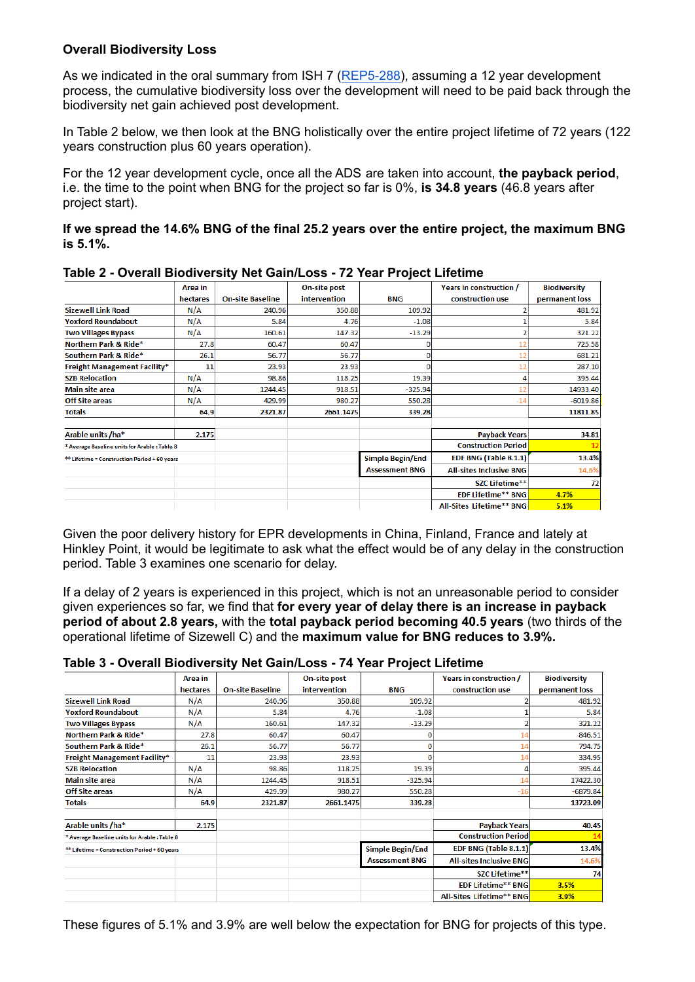# **Overall Biodiversity Loss**

As we indicated in the oral summary from ISH 7 ([REP5-288\)](https://infrastructure.planninginspectorate.gov.uk/wp-content/ipc/uploads/projects/EN010012/EN010012-006183-DL5%20-%20Theberton%20and%20Eastbridge%20Parish%20Council%20-%20Other-%20Issue%20Specific%20Hearing%20Summaries%205.pdf), assuming a 12 year development process, the cumulative biodiversity loss over the development will need to be paid back through the biodiversity net gain achieved post development.

In Table 2 below, we then look at the BNG holistically over the entire project lifetime of 72 years (122 years construction plus 60 years operation).

For the 12 year development cycle, once all the ADS are taken into account, **the payback period**, i.e. the time to the point when BNG for the project so far is 0%, **is 34.8 years** (46.8 years after project start).

**If we spread the 14.6% BNG of the final 25.2 years over the entire project, the maximum BNG is 5.1%.**

|                                                     | Area in  |                         | On-site post |                       | Years in construction /        | <b>Biodiversity</b> |
|-----------------------------------------------------|----------|-------------------------|--------------|-----------------------|--------------------------------|---------------------|
|                                                     | hectares | <b>On-site Baseline</b> | intervention | <b>BNG</b>            | construction use               | permanent loss      |
| <b>Sizewell Link Road</b>                           | N/A      | 240.96                  | 350.88       | 109.92                |                                | 481.92              |
| <b>Yoxford Roundabout</b>                           | N/A      | 5.84                    | 4.76         | $-1.08$               |                                | 5.84                |
| <b>Two Villages Bypass</b>                          | N/A      | 160.61                  | 147.32       | $-13.29$              |                                | 321.22              |
| Northern Park & Ride*                               | 27.8     | 60.47                   | 60.47        |                       |                                | 725.58              |
| Southern Park & Ride*                               | 26.1     | 56.77                   | 56.77        | o                     |                                | 681.21              |
| <b>Freight Management Facility*</b>                 | 11       | 23.93                   | 23.93        | n                     |                                | 287.10              |
| <b>SZB Relocation</b>                               | N/A      | 98.86                   | 118.25       | 19.39                 |                                | 395.44              |
| <b>Main site area</b>                               | N/A      | 1244.45                 | 918.51       | $-325.94$             |                                | 14933.40            |
| <b>Off Site areas</b>                               | N/A      | 429.99                  | 980.27       | 550.28                | $-14$                          | $-6019.86$          |
| Totals                                              | 64.9     | 2321.87                 | 2661.1475    | 339.28                |                                | 11811.85            |
| Arable units /ha*                                   | 2.175    |                         |              |                       | <b>Payback Years</b>           | 34.81               |
| * Average Baseline units for Arable : Table 8       |          |                         |              |                       | <b>Construction Period</b>     |                     |
| <b>** Lifetime = Construction Period + 60 years</b> |          |                         |              | Simple Begin/End      | EDF BNG (Table 8.1.1)          | 13.4%               |
|                                                     |          |                         |              | <b>Assessment BNG</b> | <b>All-sites Inclusive BNG</b> | 14.6%               |
|                                                     |          |                         |              |                       | <b>SZC Lifetime**</b>          | 72                  |
|                                                     |          |                         |              |                       | <b>EDF Lifetime** BNG</b>      | 4.7%                |
|                                                     |          |                         |              |                       | All-Sites Lifetime** BNG       | 5.1%                |

## **Table 2 - Overall Biodiversity Net Gain/Loss - 72 Year Project Lifetime**

Given the poor delivery history for EPR developments in China, Finland, France and lately at Hinkley Point, it would be legitimate to ask what the effect would be of any delay in the construction period. Table 3 examines one scenario for delay.

If a delay of 2 years is experienced in this project, which is not an unreasonable period to consider given experiences so far, we find that **for every year of delay there is an increase in payback period of about 2.8 years,** with the **total payback period becoming 40.5 years** (two thirds of the operational lifetime of Sizewell C) and the **maximum value for BNG reduces to 3.9%.**

# **Table 3 - Overall Biodiversity Net Gain/Loss - 74 Year Project Lifetime**

|                                                     | Area in  |                         | On-site post |                       | Years in construction /        | <b>Biodiversity</b> |
|-----------------------------------------------------|----------|-------------------------|--------------|-----------------------|--------------------------------|---------------------|
|                                                     | hectares | <b>On-site Baseline</b> | intervention | <b>BNG</b>            | construction use               | permanent loss      |
| <b>Sizewell Link Road</b>                           | N/A      | 240.96                  | 350.88       | 109.92                |                                | 481.92              |
| <b>Yoxford Roundabout</b>                           | N/A      | 5.84                    | 4.76         | $-1.08$               |                                | 5.84                |
| <b>Two Villages Bypass</b>                          | N/A      | 160.61                  | 147.32       | $-13.29$              |                                | 321.22              |
| Northern Park & Ride*                               | 27.8     | 60.47                   | 60.47        |                       | 14                             | 846.51              |
| Southern Park & Ride*                               | 26.1     | 56.77                   | 56.77        |                       | 14                             | 794.75              |
| <b>Freight Management Facility*</b>                 | 11       | 23.93                   | 23.93        |                       | 14                             | 334.95              |
| <b>SZB Relocation</b>                               | N/A      | 98.86                   | 118.25       | 19.39                 | 4                              | 395.44              |
| <b>Main site area</b>                               | N/A      | 1244.45                 | 918.51       | $-325.94$             | 14                             | 17422.30            |
| <b>Off Site areas</b>                               | N/A      | 429.99                  | 980.27       | 550.28                | $-16$                          | $-6879.84$          |
| <b>Totals</b>                                       | 64.9     | 2321.87                 | 2661.1475    | 339.28                |                                | 13723.09            |
| Arable units /ha*                                   | 2.175    |                         |              |                       | <b>Payback Years</b>           | 40.45               |
| * Average Baseline units for Arable : Table 8       |          |                         |              |                       | <b>Construction Period</b>     | 14                  |
| <b>** Lifetime = Construction Period + 60 years</b> |          |                         |              | Simple Begin/End      | EDF BNG (Table 8.1.1)          | 13.4%               |
|                                                     |          |                         |              | <b>Assessment BNG</b> | <b>All-sites Inclusive BNG</b> | 14.6%               |
|                                                     |          |                         |              |                       | <b>SZC Lifetime**</b>          | 74                  |
|                                                     |          |                         |              |                       | <b>EDF Lifetime** BNG</b>      | 3.5%                |
|                                                     |          |                         |              |                       | All-Sites Lifetime** BNG       | 3.9%                |

These figures of 5.1% and 3.9% are well below the expectation for BNG for projects of this type.